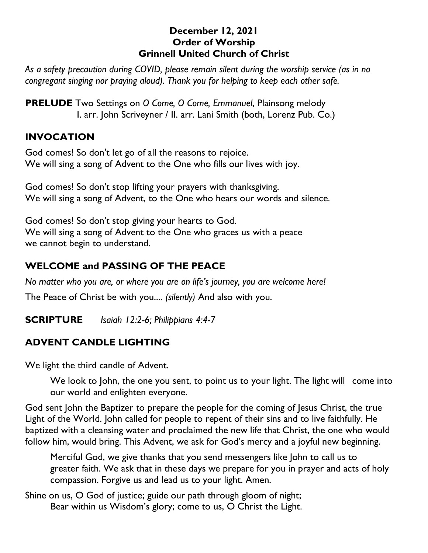#### **December 12, 2021 Order of Worship Grinnell United Church of Christ**

*As a safety precaution during COVID, please remain silent during the worship service (as in no congregant singing nor praying aloud). Thank you for helping to keep each other safe.*

**PRELUDE** Two Settings on *O* Come, *O* Come, Emmanuel, Plainsong melody I. arr. John Scriveyner / II. arr. Lani Smith (both, Lorenz Pub. Co.)

### **INVOCATION**

God comes! So don't let go of all the reasons to rejoice. We will sing a song of Advent to the One who fills our lives with joy.

God comes! So don't stop lifting your prayers with thanksgiving. We will sing a song of Advent, to the One who hears our words and silence.

God comes! So don't stop giving your hearts to God. We will sing a song of Advent to the One who graces us with a peace we cannot begin to understand.

## **WELCOME and PASSING OF THE PEACE**

*No matter who you are, or where you are on life's journey, you are welcome here!*

The Peace of Christ be with you.... *(silently)* And also with you.

**SCRIPTURE** *Isaiah 12:2-6; Philippians 4:4-7*

## **ADVENT CANDLE LIGHTING**

We light the third candle of Advent.

We look to John, the one you sent, to point us to your light. The light will come into our world and enlighten everyone.

God sent John the Baptizer to prepare the people for the coming of Jesus Christ, the true Light of the World. John called for people to repent of their sins and to live faithfully. He baptized with a cleansing water and proclaimed the new life that Christ, the one who would follow him, would bring. This Advent, we ask for God's mercy and a joyful new beginning.

Merciful God, we give thanks that you send messengers like John to call us to greater faith. We ask that in these days we prepare for you in prayer and acts of holy compassion. Forgive us and lead us to your light. Amen.

Shine on us, O God of justice; guide our path through gloom of night; Bear within us Wisdom's glory; come to us, O Christ the Light.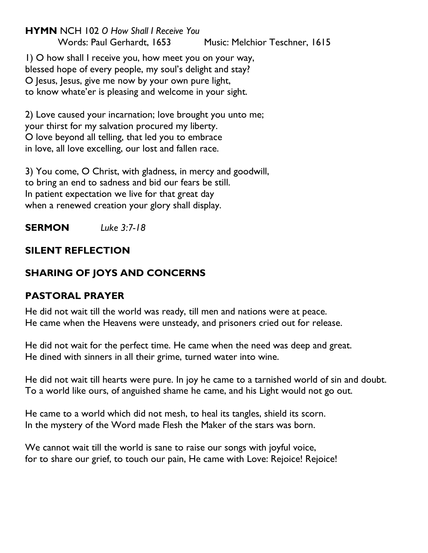**HYMN** NCH 102 *O How Shall I Receive You* Words: Paul Gerhardt, 1653 Music: Melchior Teschner, 1615

1) O how shall I receive you, how meet you on your way, blessed hope of every people, my soul's delight and stay? O Jesus, Jesus, give me now by your own pure light, to know whate'er is pleasing and welcome in your sight.

2) Love caused your incarnation; love brought you unto me; your thirst for my salvation procured my liberty. O love beyond all telling, that led you to embrace in love, all love excelling, our lost and fallen race.

3) You come, O Christ, with gladness, in mercy and goodwill, to bring an end to sadness and bid our fears be still. In patient expectation we live for that great day when a renewed creation your glory shall display.

**SERMON** *Luke 3:7-18*

# **SILENT REFLECTION**

# **SHARING OF JOYS AND CONCERNS**

## **PASTORAL PRAYER**

He did not wait till the world was ready, till men and nations were at peace. He came when the Heavens were unsteady, and prisoners cried out for release.

He did not wait for the perfect time. He came when the need was deep and great. He dined with sinners in all their grime, turned water into wine.

He did not wait till hearts were pure. In joy he came to a tarnished world of sin and doubt. To a world like ours, of anguished shame he came, and his Light would not go out.

He came to a world which did not mesh, to heal its tangles, shield its scorn. In the mystery of the Word made Flesh the Maker of the stars was born.

We cannot wait till the world is sane to raise our songs with joyful voice, for to share our grief, to touch our pain, He came with Love: Rejoice! Rejoice!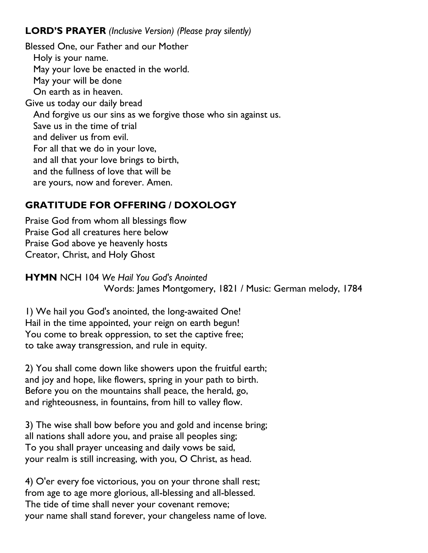## **LORD'S PRAYER** *(Inclusive Version) (Please pray silently)*

Blessed One, our Father and our Mother Holy is your name. May your love be enacted in the world. May your will be done On earth as in heaven. Give us today our daily bread And forgive us our sins as we forgive those who sin against us. Save us in the time of trial and deliver us from evil. For all that we do in your love, and all that your love brings to birth, and the fullness of love that will be are yours, now and forever. Amen.

# **GRATITUDE FOR OFFERING / DOXOLOGY**

Praise God from whom all blessings flow Praise God all creatures here below Praise God above ye heavenly hosts Creator, Christ, and Holy Ghost

**HYMN** NCH 104 *We Hail You God's Anointed* Words: James Montgomery, 1821 / Music: German melody, 1784

1) We hail you God's anointed, the long-awaited One! Hail in the time appointed, your reign on earth begun! You come to break oppression, to set the captive free; to take away transgression, and rule in equity.

2) You shall come down like showers upon the fruitful earth; and joy and hope, like flowers, spring in your path to birth. Before you on the mountains shall peace, the herald, go, and righteousness, in fountains, from hill to valley flow.

3) The wise shall bow before you and gold and incense bring; all nations shall adore you, and praise all peoples sing; To you shall prayer unceasing and daily vows be said, your realm is still increasing, with you, O Christ, as head.

4) O'er every foe victorious, you on your throne shall rest; from age to age more glorious, all-blessing and all-blessed. The tide of time shall never your covenant remove; your name shall stand forever, your changeless name of love.